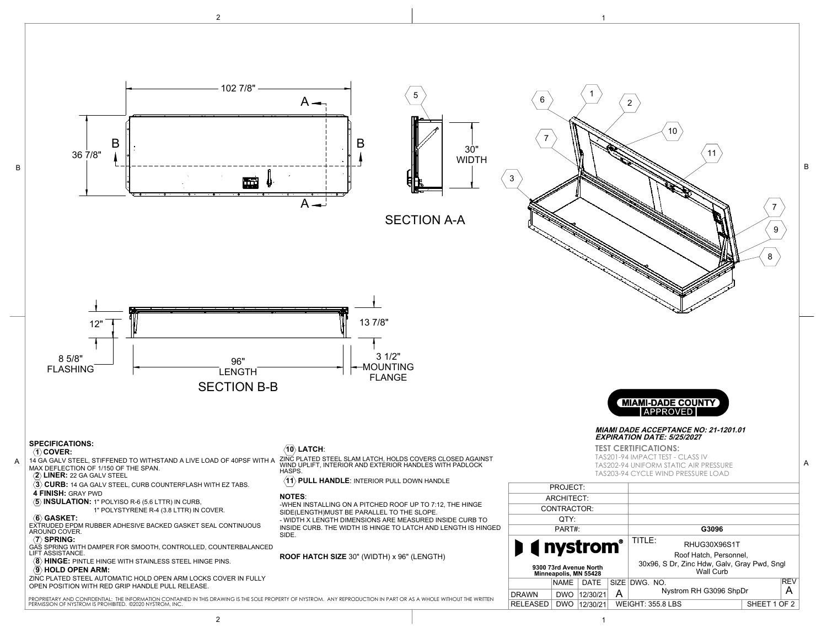